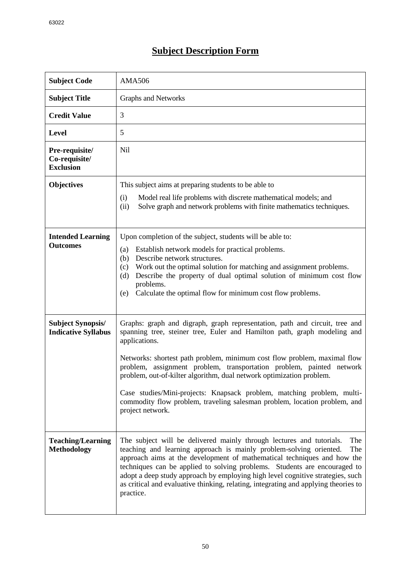## **Subject Description Form**

| <b>Subject Code</b>                                    | <b>AMA506</b>                                                                                                                                                                                                                                                                                                                                                                                                                                                                                          |  |  |  |  |  |
|--------------------------------------------------------|--------------------------------------------------------------------------------------------------------------------------------------------------------------------------------------------------------------------------------------------------------------------------------------------------------------------------------------------------------------------------------------------------------------------------------------------------------------------------------------------------------|--|--|--|--|--|
| <b>Subject Title</b>                                   | Graphs and Networks                                                                                                                                                                                                                                                                                                                                                                                                                                                                                    |  |  |  |  |  |
| <b>Credit Value</b>                                    | 3                                                                                                                                                                                                                                                                                                                                                                                                                                                                                                      |  |  |  |  |  |
| <b>Level</b>                                           | 5                                                                                                                                                                                                                                                                                                                                                                                                                                                                                                      |  |  |  |  |  |
| Pre-requisite/<br>Co-requisite/<br><b>Exclusion</b>    | <b>Nil</b>                                                                                                                                                                                                                                                                                                                                                                                                                                                                                             |  |  |  |  |  |
| <b>Objectives</b>                                      | This subject aims at preparing students to be able to                                                                                                                                                                                                                                                                                                                                                                                                                                                  |  |  |  |  |  |
|                                                        | Model real life problems with discrete mathematical models; and<br>(i)<br>Solve graph and network problems with finite mathematics techniques.<br>(ii)                                                                                                                                                                                                                                                                                                                                                 |  |  |  |  |  |
| <b>Intended Learning</b><br><b>Outcomes</b>            | Upon completion of the subject, students will be able to:                                                                                                                                                                                                                                                                                                                                                                                                                                              |  |  |  |  |  |
|                                                        | Establish network models for practical problems.<br>(a)<br>Describe network structures.<br>(b)                                                                                                                                                                                                                                                                                                                                                                                                         |  |  |  |  |  |
|                                                        | Work out the optimal solution for matching and assignment problems.<br>(c)<br>Describe the property of dual optimal solution of minimum cost flow<br>(d)                                                                                                                                                                                                                                                                                                                                               |  |  |  |  |  |
|                                                        | problems.<br>Calculate the optimal flow for minimum cost flow problems.<br>(e)                                                                                                                                                                                                                                                                                                                                                                                                                         |  |  |  |  |  |
|                                                        |                                                                                                                                                                                                                                                                                                                                                                                                                                                                                                        |  |  |  |  |  |
| <b>Subject Synopsis/</b><br><b>Indicative Syllabus</b> | Graphs: graph and digraph, graph representation, path and circuit, tree and<br>spanning tree, steiner tree, Euler and Hamilton path, graph modeling and<br>applications.                                                                                                                                                                                                                                                                                                                               |  |  |  |  |  |
|                                                        | Networks: shortest path problem, minimum cost flow problem, maximal flow<br>problem, assignment problem, transportation problem, painted<br>network<br>problem, out-of-kilter algorithm, dual network optimization problem.                                                                                                                                                                                                                                                                            |  |  |  |  |  |
|                                                        | Case studies/Mini-projects: Knapsack problem, matching problem, multi-<br>commodity flow problem, traveling salesman problem, location problem, and<br>project network.                                                                                                                                                                                                                                                                                                                                |  |  |  |  |  |
| <b>Teaching/Learning</b><br><b>Methodology</b>         | The subject will be delivered mainly through lectures and tutorials.<br>The<br>teaching and learning approach is mainly problem-solving oriented.<br>The<br>approach aims at the development of mathematical techniques and how the<br>techniques can be applied to solving problems. Students are encouraged to<br>adopt a deep study approach by employing high level cognitive strategies, such<br>as critical and evaluative thinking, relating, integrating and applying theories to<br>practice. |  |  |  |  |  |